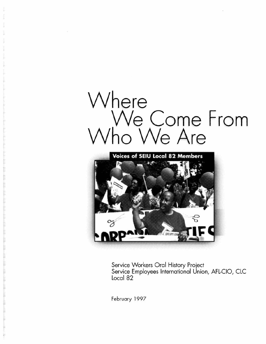



Service Workers Oral History Project Service Employees International Union, AFL-CIO, CLC Local 82

February 1997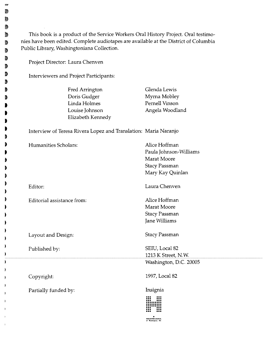| Public Library, Washingtoniana Collection.                      |                        |
|-----------------------------------------------------------------|------------------------|
| Project Director: Laura Chenven                                 |                        |
| Interviewers and Project Participants:                          |                        |
| Fred Arrington                                                  | Glenda Lewis           |
| Doris Gudger                                                    | Myrna Mobley           |
| Linda Holmes                                                    | Pernell Vinson         |
| Louise Johnson                                                  | Angela Woodland        |
| Elizabeth Kennedy                                               |                        |
| Interview of Teresa Rivera Lopez and Translation: Maria Naranjo |                        |
| Humanities Scholars:                                            | Alice Hoffman          |
|                                                                 | Paula Johnson-Williams |
|                                                                 | Marat Moore            |
|                                                                 | <b>Stacy Passman</b>   |
|                                                                 | Mary Kay Quinlan       |
| Editor:                                                         | Laura Chenven          |
| Editorial assistance from:                                      | Alice Hoffman          |
|                                                                 | Marat Moore            |
|                                                                 | <b>Stacy Passman</b>   |
|                                                                 | Jane Williams          |
| Layout and Design:                                              | <b>Stacy Passman</b>   |
| Published by:                                                   | SEIU, Local 82         |
|                                                                 | 1213 K Street, N.W.    |
|                                                                 | Washington, D.C. 20005 |
| Copyright:                                                      | 1997, Local 82         |
| Partially funded by:                                            | Insignia               |
|                                                                 |                        |

W ð D 9 D 9 9 D ð  $\ddot{\phantom{1}}$ D  $\bullet$  $\bullet$  $\mathbf{D}$  $\blacktriangleright$ 9  $\bullet$  $\blacktriangleright$  $\qquad \qquad \bullet$  $\bullet$  $\bullet$ þ  $\bullet$ þ

١ ۱ I ì ı

 $\mathbf{L}$  $\big)$  $\mathbf{F}$ 1  $\mathbf{I}$  $\mathbf{I}$ 

 $\mathbf{I}$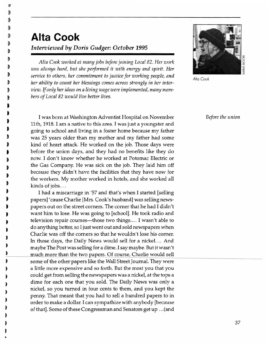蹈

# **Alta Cook**  *Interviewed by Doris Gudger: October 1995*

*Alta Cook worked at many jobs before joining Local* 82. *Her work was always hard, but she performed it with energy and spirit. Her service to others, her commitment to justice for working people, and her ability to count her blessings comes across strongly in her interview.* If *only her ideas on a living wage were implemented, many members of Local* 82 *would live better lives.* 



*Alia Cook* 

*Before the union* 

I was born at Washington Adventist Hospital on November 11th, 1918. I am a native to this area. I was just a youngster and going to school and living in a foster home because my father was 25 years older than my mother and my father had some kind of heart attack. He worked on the job. Those days were before the union days, and they had no benefits like they do now. I don't know whether he worked at Potomac Electric or the Gas Company. He was sick on the job. They laid him off because they didn't have the facilities that they have now for the workers. My mother worked in hotels, and she worked all kinds of jobs....

I had a miscarriage in '57 and that's when I started [selling papers] 'cause Charlie [Mrs. Cook's husband] was selling newspapers out on the street corners. The corner that he had I didn't want him to lose. He was going to [school]. He took radio and television repair courses—those two things.... I wasn't able to do anything better, so I just went out and sold newspapers when Charlie was off the corners so that he wouldn't lose his corner. In those days, the Daily News would sell for a nickel. ... And maybe The Post was selling for a dime. I say maybe. But it wasn't much more than the two papers. Of course, Charlie would sell<br>some of the other papers like the Wall Street Journal. They were a little more expensive and so forth. But the most you that you • could get from selling the newspapers was a nickel, at the tops a dime for each one that you sold. The Daily News was only a nickel, so you turned in four cents to them, and you kept the penny. That meant that you had to sell a hundred papers to in order to make a dollar. I can sympathize with anybody [because of that]. Some of these Congressman and Senators get up ... (and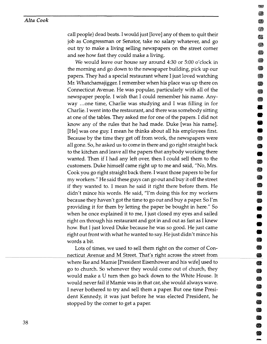#### *Alta Cook*

call people) dead beats. I would just [love] any of them to quit their job as Congressman or Senator, take no salary whatever, and go out try to make a living selling newspapers on the street corner and see how fast they could make a living.

.. ..

 $\, \Omega \,$ 

• II

æ. **Si** 

-<br>-<br>-<br>-<br>-<br>-<br><br>-<br><br><br><br><br><br><br><br><br><br><br><br><br><br>

• • • • •

**e**<br>•<br>•

**1)** 

**•**<br>•

Ø) . **(1) 8** 

**•**<br>• •

• • • II

II **Ba e** st o

• • o<br>Ad

• 18

18

**•**<br>• • •

We would leave our house say around 4:30 or 5:00 o'clock in the morning and go down to the newspaper building, pick up our papers. They had a special restaurant where I just loved watching Mr. Whatchamajigger. I remember when his place was up there on Connecticut Avenue. He was popular, particularly with all of the newspaper people. I wish that I could remember his name. Anyway ... one time, Charlie was studying and I was filling in for Charlie. I went into the restaurant, and there was somebody sitting at one of the tables. They asked me for one of the papers. I did not know any of the rules that he had made. Duke [was his name]. [He] was one guy. I mean he thinks about all his employees first. Because by the time they get off from work, the newspapers were all gone. So, he asked us to corne in there and go right straight back to the kitchen and leave all the papers that anybody working there wanted. Then if I had any left over, then I could sell them to the customers. Duke himself carne right up to me and said, "No, Mrs. Cook you go right straight back there. I want those papers to be for my workers." He said these guys can go out and buy it off the street if they wanted to. I mean he said it right there before them. He didn't mince his words. He said, "I'm doing this for my workers because they haven't got the time to go out and buy a paper. So I'm providing it for them by letting the paper be bought in here." So when he once explained it to me, I just closed my eyes and sailed right on through his restaurant and got in and out as fast as I knew how. But I just loved Duke because he was so good. He just came right out front with what he wanted to say. He just didn't mince his words a bit.

Lots of times, we used to sell them right on the corner of Connecticut Avenue and M Street. That's right across the street from where Ike and Mamie [President Eisenhower and his wife] used to go to church. So whenever they would come out of church, they would make a U turn then go back down to the White House. It would never fail if Mamie was in that car, she would always wave. I never bothered to try and sell them a paper. But one time President Kennedy, it was just before he was elected President, he stopped by the corner to get a paper.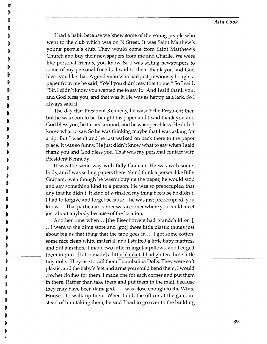### *Alta Cook*

I had a habit because we knew some of the young people who went to the club which was on N Street. It was Saint Matthew's young people's club. They would come from Saint Matthew's Church and buy their newspapers from me and Charlie. We were like personal friends, you know. So I was selling newspapers to some of my personal friends. I said to them thank you and God bless you like that. A gentleman who had just previously bought a paper from me he said, "Well you didn't say that to me." So I said, "Sir, I didn't know you wanted me to say it." And I said thank you, and God bless you, and that was it. He was as happy as a lark. So I always said it.

The day that President Kennedy, he wasn't the President then but he was soon to be, bought his paper and I said thank you and God bless you, he turned around, and he was speechless. He didn't know what to say. So he was thinking maybe that I was asking for a tip. But I wasn't and he just walked on back there to the paper place. It was so funny. He just didn't know what to say when I said thank you and God bless you. That was my personal contact with President Kennedy.

,<br>)<br>) ;<br>)<br>) ;<br>)<br>) •<br>•<br>• D

鷚

t t

..

It was the same way with Billy Graham. He was with somebody, and I was selling papers there. You'd think a person like Billy Graham, even though he wasn't buying the paper, he would stop and say something kind to a person. He was so preoccupied that day that he didn't. It kind of wrinkled my thing because he didn't. I had to forgive and forget because ... he was just preoccupied, you know.... That particular corner was a corner where you could meet just about anybody because of the location.

Another time when... [the Eisenhowers had grandchildren ], .. .1 went to the dime store and [got] those little plastic things just about big as that thing that the tape goes in.... I got some cotton, some nice clean white material, and I stuffed a little baby mattress and put it in there. I made two little triangular pillows, and I edged them in pink. [I also made] a little blanket. I had gotten these little tiny dolls. They use to call them Thumbalina Dolls. They were soft t plastic, and the baby's feet and arms you could bend them. I would t crochet clothes for them. I made one for each corner and put them in there. Rather than take them and put them in the mail, because they may have been damaged, .. .1 was close enough to the White House... to walk up there. When I did, the officer at the gate, instead of him taking them, he said I had to go over to the building

-----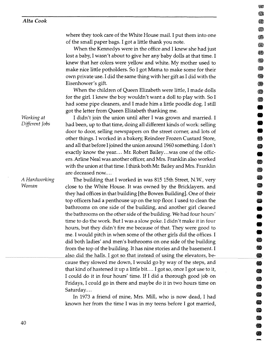where they took care of the White House mail. I put them into one of the small paper bags. I got a little thank you note.

When the Kennedys were in the office and I knew she had just lost a baby, I wasn't about to give her any baby dolls at that time. I knew that her colors were yellow and white. My mother used to make nice little potholders. So I got Mama to make some for their own private use. I did the same thing with her gift as I did with the Eisenhower's gift.

When the children of Queen Elizabeth were little, I made dolls for the girl. I knew the boy wouldn't want a doll to play with. So I had some pipe cleaners, and I made him a little poodle dog. I still got the letter from Queen Elizabeth thanking me.

• • • •

6

安藤 63 ₩ ❀ 63 e. 8 ▩ のうち にっぽん かいじょう ❀

**13** .<br>9

**•**<br>●

**• • • • •** 

SI.

-<br>9<br>9<br>9

..

I didn't join the union until after I was grown and married. I had been, up to that time, doing all different kinds of work: selling door to door, selling newspapers on the street corner, and lots of other things. I worked in a bakery, Reindeer Frozen Custard Store, and all that before I joined the union around 1960 something. I don't exactly know the year.... Mr. Robert Bailey...was one of the officers. Arline Neal was another officer, and Mrs. Franklin also worked with the union at that time. I think both Mr. Bailey and Mrs. Franklin are deceased now....

The building that I worked in was 815 15th Street, N.W., very close to the White House. It was owned by the Bricklayers, and they had offices in that building [the Bowen Building]. One of their top officers had a penthouse up on the top floor. I used to clean the bathrooms on one side of the building, and another girl cleaned the bathrooms on the other side of the building. We had four hours' time to do the work. But I was a slow poke. I didn't make it in four hours, but they didn't fire me because of that. They were good to me. I would pitch in when some of the other girls did the offices. I did both ladies' and men's bathrooms on one side of the building from the top of the building. It has nine stories and the basement. I also did the halls. I got so that instead of using the elevators, because they slowed me down, I would go by way of the steps, and  $\qquad \qquad \textcircled{\small{8}}$ that kind of hastened it up a little bit.... I got so, once I got use to it,  $\qquad \qquad \bullet$ I could do it in four hours' time. If I did a thorough good job on Fridays, I could go in there and maybe do it in two hours time on Saturday....

In 1973 a friend of mine, Mrs. Mill, who is now dead, I had known her from the time I was in my teens before I got married,

*Working at Different Jobs* 

*A Hardworking Woman*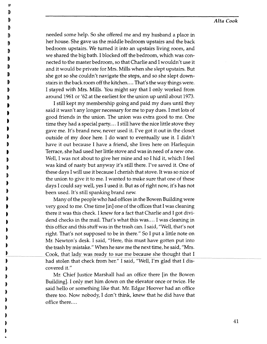needed some help. So she offered me and my husband a place in her house. She gave us the middle bedroom upstairs and the back bedroom upstairs. We turned it into an upstairs living room, and we shared the big bath. I blocked off the bedroom, which was connected to the master bedroom, so that Charlie and I wouldn't use it and it would be private for Mrs. Mills when she slept upstairs. But she got so she couldn't navigate the steps, and so she slept downstairs in the back room off the kitchen .... That's the way things were. I stayed with Mrs. Mills. You might say that I only worked from around 1961 or '62 at the earliest for the union up until about 1973.

I still kept my membership going and paid my dues until they said it wasn't any longer necessary for me to pay dues. I met lots of good friends in the union. The union was extra good to me. One time they had a special party .... I still have the nice little stove they gave me. It's brand new, never used it. I've got it out in the closet outside of my door here. I do want to eventually use it. I didn't have it out because I have a friend, she lives here on Harlequin Terrace, she had used her little stove and was in need of a new one. Well, I was not about to give her mine and so I hid it, which I feel was kind of nasty but anyway it's still there. I've saved it. One of these days I will use it because I cherish that stove. It was so nice of the union to give it to me. I wanted to make sure that one of these days I could say well, yes I used it. But as of right now, it's has not been used. It's still spanking brand new.

)<br>d

靎 p

।<br>a t

D

।<br>। ।<br>।<br>। )<br>} )<br>a  $\blacksquare$ 

..

Many of the people who had offices in the Bowen Building were very good to me. One time [in] one of the offices that I was cleaning there it was this check. I knew for a fact that Charlie and I got dividend checks in the mail. That's what this was.... I was cleaning in this office and this stuff was in the trash can. I said, "Well, that's not right. That's not supposed to be in there." So I put a little note on Mr. Newton's desk. I said, "Here, this must have gotten put into the trash by mistake." When he saw me the next time, he said, "Mrs. Cook, that lady was ready to sue me because she thought that I had stolen that check from her." I said, "Well, I'm glad that I discovered it."

Mr. Chief Justice Marshall had an office there [in the Bowen Building]. I only met him down on the elevator once or twice. He said hello or something like that. Mr. Edgar Hoover had an office there too. Now nobody, I don't think, knew that he did have that office there....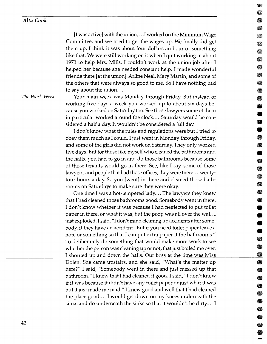[I was active] with the union, .. .1 worked on the Minimum Wage 1\1 Committee, and we tried to get the wages up. We finally did get them up. I think it was about four dollars an hour or something  $\blacksquare$ like that. We were still working on it when I quit working in about  $\overline{\phantom{a}}$ 1973 to help Mrs. Mills. I couldn't work at the union job after I helped her because she needed constant help. I made wonderful " friends there [at the union]: Arline Neal, Mary Martin, and some of  $\blacksquare$ the others that were always so good to me. So I have nothing bad  $\bullet$ to say about the union....

- II II **11** 

.<br>0

**62** 

" **\***<br>" •

**The Work Week 19 Your main week was Monday through Friday. But instead of III** working five days a week you worked up to about six days be- • cause you worked on Saturday too. See those lawyers some of them • in particular worked around the clock. ... Saturday would be considered a half a day. It wouldn't be considered a full day. •

> I don't know what the rules and regulations were but I tried to • obey them much as I could. I just went in Monday through Friday, and some of the girls did not work on Saturday. They only worked " five days. But for those like myself who cleaned the bathrooms and • the halls, you had to go in and do those bathrooms because some of those tenants would go in there. See, like I say, some of those 18 lawyers, and people that had those offices, they were there... twentyfour hours a day. So you [went] in there and cleaned those bathrooms on Saturdays to make sure they were okay.

> One time I was a hot-tempered lady.... The lawyers they knew that I had cleaned those bathrooms good. Somebody went in there, • I don't know whether it was because I had neglected to put toilet • paper in there, or what it was, but the poop was all over the wall. I just exploded. I said, "I don't mind cleaning up accidents after somebody, if they have an accident. But if you need toilet paper leave a • note or something so that I can put extra paper it the bathrooms." To deliberately do something that would make more work to see • whether the person was cleaning up or not, that just boiled me over. I shouted up and down the halls. Our boss at the time was Miss Dolen. She came upstairs, and she said, "What's the matter up 100 metals and 100 metals and 100 metals and 10 here?" I said, "Somebody went in there and just messed up that III in the III bathroom." I knew that I had cleaned it good. I said, "I don't know • if it was because it didn't have any toilet paper or just what it was but it just made me mad." I knew good and well that I had cleaned III had it is a state of the III had cleaned the place good .... I would get down on my knees underneath the sinks and do underneath the sinks so that it wouldn't be dirty.... I

42

--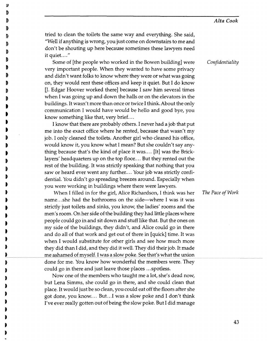tried to clean the toilets the same way and everything. She said, "Well if anything is wrong, you just come on downstairs to me and don't be shouting up here because sometimes these lawyers need it quiet...."

Some of [the people who worked in the Bowen building] were very important people. When they wanted to have some privacy and didn't want folks to know where they were or what was going on, they would rent these offices and keep it quiet. But I do know U. Edgar Hoover worked there] because I saw him several times when I was going up and down the halls or on the elevators in the buildings. It wasn't more than once or twice I think. About the only communication I would have would be hello and good bye, you know something like that, very brief....

I know that there are probably others. I never had a job that put me into the exact office where he rented, because that wasn't my job. I only cleaned the toilets. Another girl who cleaned his office, would know it, you know what I mean? But she couldn't say anything because that's the kind of place it was.... [It] was the Bricklayers' headquarters up on the top floor .... But they rented out the rest of the building. It was strictly speaking that nothing that you saw or heard ever went any further.... Your job was strictly confidential. You didn't go spreading breezes around. Especially when you were working in buildings where there were lawyers.

When I filled in for the girl, Alice Richardson, I think was her *The Pace of Work*  name... she had the bathrooms on the side-where I was it was strictly just toilets and sinks, you know, the ladies' rooms and the men's room. On her side of the building they had little places where people could go in and sit down and stuff like that. But the ones on my side of the buildings, they didn't, and Alice could go in there and do all of that work and get out of there in [quick] time. It was when I would substitute for other girls and see how much more they did than I did, and they did it well. They did their job. It made me ashamed of myself. I was a slow poke. See that's what the union done for me. You know how wonderful the members were. They could go in there and just leave those places ... spotless.

Now one of the members who taught me a lot, she's dead now, but Lena Simms, she could go in there, and she could clean that place. It would just be so clean, you could eat off the floors after she got done, you know.... But...I was a slow poke and I don't think I've ever really gotten out of being the slow poke. But I did manage *Confidentiality*